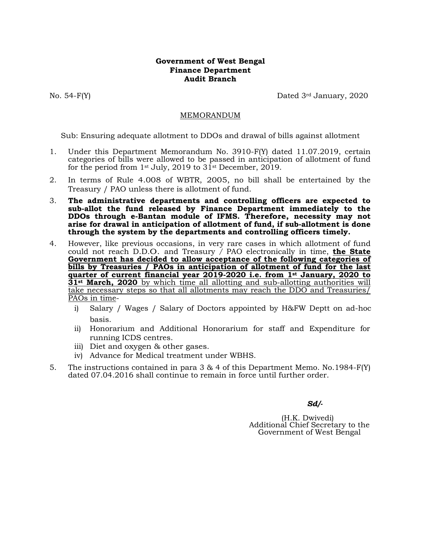## **Government of West Bengal Finance Department Audit Branch**

No. 54-F(Y) Dated 3rd January, 2020

## MEMORANDUM

Sub: Ensuring adequate allotment to DDOs and drawal of bills against allotment

- 1. Under this Department Memorandum No. 3910-F(Y) dated 11.07.2019, certain categories of bills were allowed to be passed in anticipation of allotment of fund for the period from 1<sup>st</sup> July, 2019 to  $31$ <sup>st</sup> December, 2019.
- 2. In terms of Rule 4.008 of WBTR, 2005, no bill shall be entertained by the Treasury / PAO unless there is allotment of fund.
- 3. **The administrative departments and controlling officers are expected to sub-allot the fund released by Finance Department immediately to the DDOs through e-Bantan module of IFMS. Therefore, necessity may not arise for drawal in anticipation of allotment of fund, if sub-allotment is done through the system by the departments and controlling officers timely.**
- 4. However, like previous occasions, in very rare cases in which allotment of fund could not reach D.D.O. and Treasury */* PAO electronically in time, **the State Government has decided to allow acceptance of the following categories of bills by Treasuries / PAOs in anticipation of allotment of fund for the last quarter of current financial year 2019-2020 i.e. from 1st January, 2020 to 31st March, 2020** by which time all allotting and sub-allotting authorities will take necessary steps so that all allotments may reach the DDO and Treasuries/ PAOs in time
	- i) Salary / Wages / Salary of Doctors appointed by H&FW Deptt on ad-hoc basis.
	- ii) Honorarium and Additional Honorarium for staff and Expenditure for running ICDS centres.
	- iii) Diet and oxygen & other gases.
	- iv) Advance for Medical treatment under WBHS.
- 5. The instructions contained in para 3 & 4 of this Department Memo. No.1984-F(Y) dated 07.04.2016 shall continue to remain in force until further order.

 *Sd/-* 

(H.K. Dwivedi) Additional Chief Secretary to the Government of West Bengal